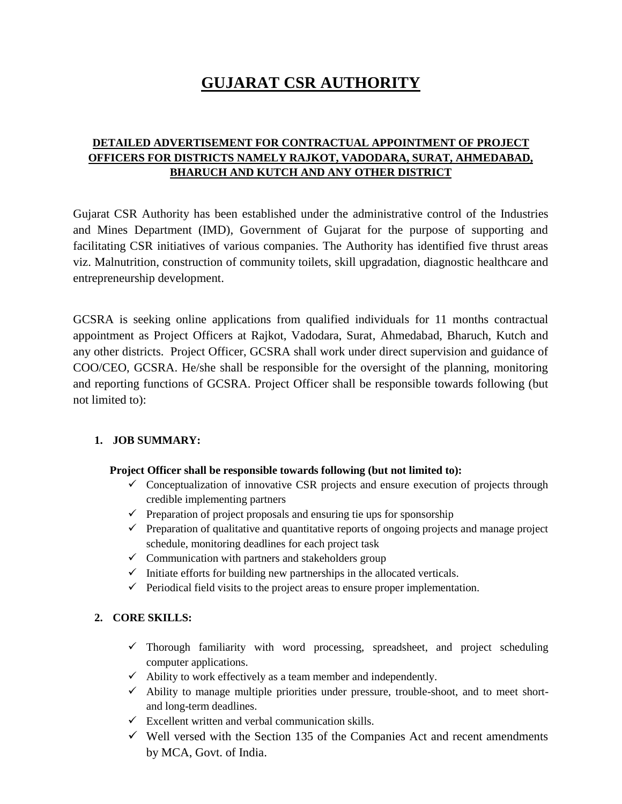# **GUJARAT CSR AUTHORITY**

## **DETAILED ADVERTISEMENT FOR CONTRACTUAL APPOINTMENT OF PROJECT OFFICERS FOR DISTRICTS NAMELY RAJKOT, VADODARA, SURAT, AHMEDABAD, BHARUCH AND KUTCH AND ANY OTHER DISTRICT**

Gujarat CSR Authority has been established under the administrative control of the Industries and Mines Department (IMD), Government of Gujarat for the purpose of supporting and facilitating CSR initiatives of various companies. The Authority has identified five thrust areas viz. Malnutrition, construction of community toilets, skill upgradation, diagnostic healthcare and entrepreneurship development.

GCSRA is seeking online applications from qualified individuals for 11 months contractual appointment as Project Officers at Rajkot, Vadodara, Surat, Ahmedabad, Bharuch, Kutch and any other districts. Project Officer, GCSRA shall work under direct supervision and guidance of COO/CEO, GCSRA. He/she shall be responsible for the oversight of the planning, monitoring and reporting functions of GCSRA. Project Officer shall be responsible towards following (but not limited to):

#### **1. JOB SUMMARY:**

#### **Project Officer shall be responsible towards following (but not limited to):**

- $\checkmark$  Conceptualization of innovative CSR projects and ensure execution of projects through credible implementing partners
- $\checkmark$  Preparation of project proposals and ensuring tie ups for sponsorship
- $\checkmark$  Preparation of qualitative and quantitative reports of ongoing projects and manage project schedule, monitoring deadlines for each project task
- $\checkmark$  Communication with partners and stakeholders group
- $\checkmark$  Initiate efforts for building new partnerships in the allocated verticals.
- $\checkmark$  Periodical field visits to the project areas to ensure proper implementation.

## **2. CORE SKILLS:**

- $\checkmark$  Thorough familiarity with word processing, spreadsheet, and project scheduling computer applications.
- $\checkmark$  Ability to work effectively as a team member and independently.
- $\checkmark$  Ability to manage multiple priorities under pressure, trouble-shoot, and to meet shortand long-term deadlines.
- $\checkmark$  Excellent written and verbal communication skills.
- $\checkmark$  Well versed with the Section 135 of the Companies Act and recent amendments by MCA, Govt. of India.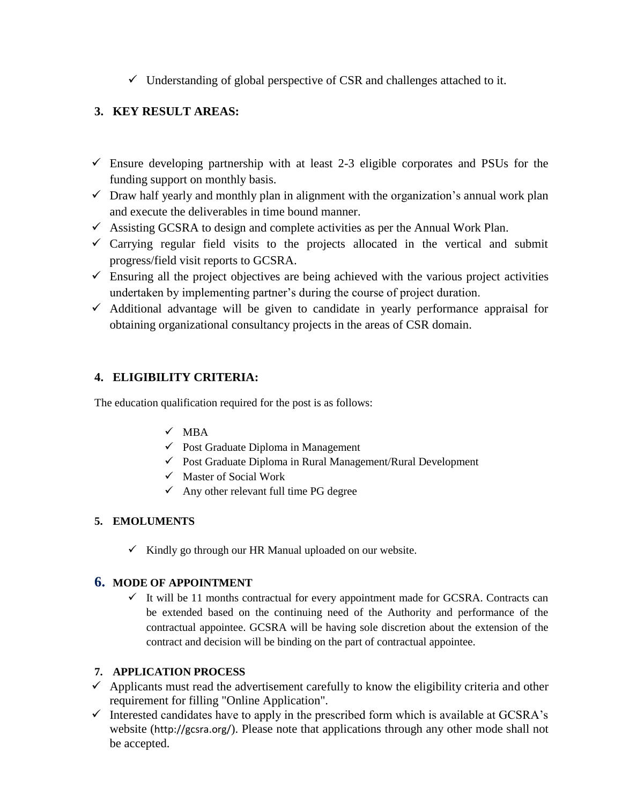$\checkmark$  Understanding of global perspective of CSR and challenges attached to it.

# **3. KEY RESULT AREAS:**

- $\checkmark$  Ensure developing partnership with at least 2-3 eligible corporates and PSUs for the funding support on monthly basis.
- $\checkmark$  Draw half yearly and monthly plan in alignment with the organization's annual work plan and execute the deliverables in time bound manner.
- $\checkmark$  Assisting GCSRA to design and complete activities as per the Annual Work Plan.
- $\checkmark$  Carrying regular field visits to the projects allocated in the vertical and submit progress/field visit reports to GCSRA.
- $\checkmark$  Ensuring all the project objectives are being achieved with the various project activities undertaken by implementing partner's during the course of project duration.
- $\checkmark$  Additional advantage will be given to candidate in yearly performance appraisal for obtaining organizational consultancy projects in the areas of CSR domain.

# **4. ELIGIBILITY CRITERIA:**

The education qualification required for the post is as follows:

## $\sqrt{MBA}$

- $\checkmark$  Post Graduate Diploma in Management
- Post Graduate Diploma in Rural Management/Rural Development
- $\checkmark$  Master of Social Work
- $\checkmark$  Any other relevant full time PG degree

## **5. EMOLUMENTS**

 $\checkmark$  Kindly go through our HR Manual uploaded on our website.

## **6. MODE OF APPOINTMENT**

 $\checkmark$  It will be 11 months contractual for every appointment made for GCSRA. Contracts can be extended based on the continuing need of the Authority and performance of the contractual appointee. GCSRA will be having sole discretion about the extension of the contract and decision will be binding on the part of contractual appointee.

## **7. APPLICATION PROCESS**

- $\checkmark$  Applicants must read the advertisement carefully to know the eligibility criteria and other requirement for filling "Online Application".
- $\checkmark$  Interested candidates have to apply in the prescribed form which is available at GCSRA's website (<http://gcsra.org/>). Please note that applications through any other mode shall not be accepted.